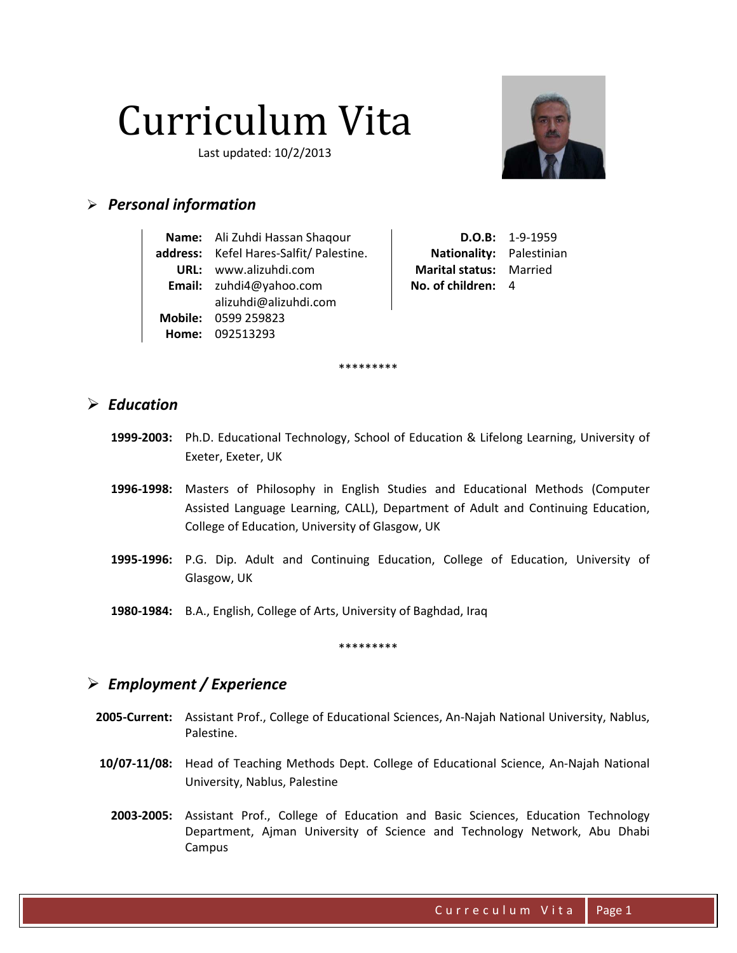# Curriculum Vita

Last updated: 10/2/2013



# $\triangleright$  Personal information

| Name: Ali Zuhdi Hassan Shaqour          |
|-----------------------------------------|
| address: Kefel Hares-Salfit/ Palestine. |
| URL: www.alizuhdi.com                   |
| Email: zuhdi4@yahoo.com                 |
| alizuhdi@alizuhdi.com                   |
| <b>Mobile: 0599 259823</b>              |
| Home: 092513293                         |

 $D.O.B: 1-9-1959$ Nationality: Palestinian Marital status: Married No. of children: 4

#### $\triangleright$  Education

1999-2003: Ph.D. Educational Technology, School of Education & Lifelong Learning, University of Exeter, Exeter, UK

\*\*\*\*\*\*\*\*\*

- 1996-1998: Masters of Philosophy in English Studies and Educational Methods (Computer Assisted Language Learning, CALL), Department of Adult and Continuing Education, College of Education, University of Glasgow, UK
- 1995-1996: P.G. Dip. Adult and Continuing Education, College of Education, University of Glasgow, UK
- 1980-1984: B.A., English, College of Arts, University of Baghdad, Iraq

\*\*\*\*\*\*\*\*\*

# $\triangleright$  Employment / Experience

- 2005-Current: Assistant Prof., College of Educational Sciences, An-Najah National University, Nablus, Palestine.
- 10/07-11/08: Head of Teaching Methods Dept. College of Educational Science, An-Najah National University, Nablus, Palestine
	- 2003-2005: Assistant Prof., College of Education and Basic Sciences, Education Technology Department, Ajman University of Science and Technology Network, Abu Dhabi Campus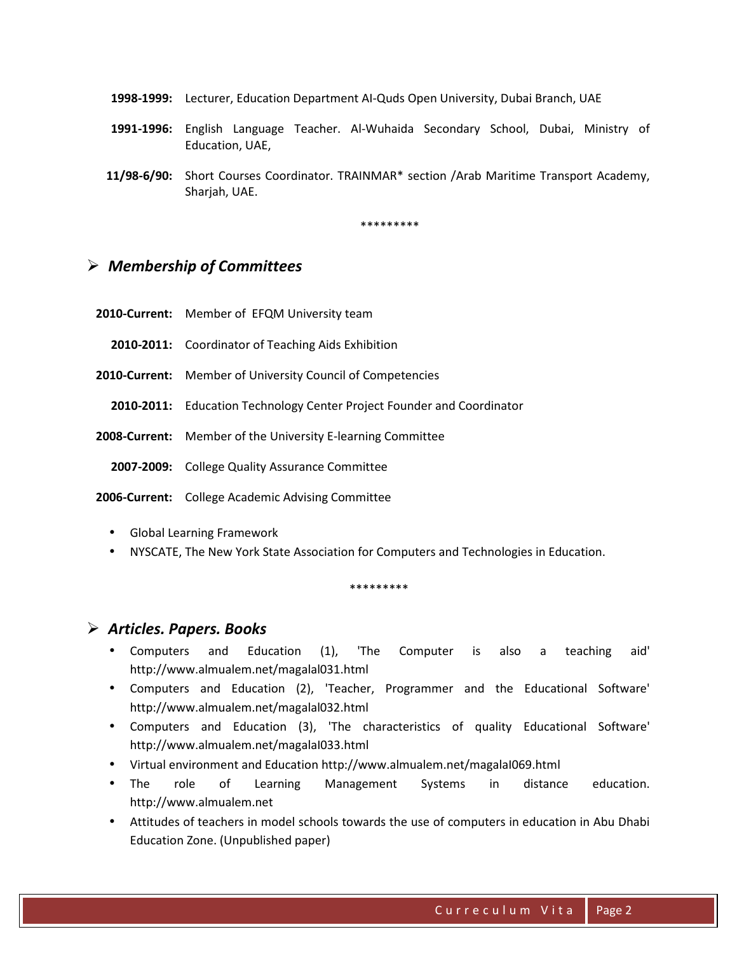- 1998-1999: Lecturer, Education Department AI-Quds Open University, Dubai Branch, UAE
- 1991-1996: English Language Teacher. Al-Wuhaida Secondary School, Dubai, Ministry of Education, UAE,
- 11/98-6/90: Short Courses Coordinator. TRAINMAR\* section /Arab Maritime Transport Academy, Sharjah, UAE.

\*\*\*\*\*\*\*\*

#### $\triangleright$  Membership of Committees

- 2010-Current: Member of EFQM University team
	- 2010-2011: Coordinator of Teaching Aids Exhibition
- 2010-Current: Member of University Council of Competencies
	- 2010-2011: Education Technology Center Project Founder and Coordinator
- 2008-Current: Member of the University E-learning Committee
	- 2007-2009: College Quality Assurance Committee

2006-Current: College Academic Advising Committee

- Global Learning Framework
- NYSCATE, The New York State Association for Computers and Technologies in Education.

\*\*\*\*\*\*\*\*

#### $\triangleright$  Articles. Papers. Books

- Computers and Education (1), 'The Computer is also a teaching aid' http://www.almualem.net/magalal031.html
- Computers and Education (2), 'Teacher, Programmer and the Educational Software' http://www.almualem.net/magalal032.html
- Computers and Education (3), 'The characteristics of quality Educational Software' http://www.almualem.net/magalaI033.html
- Virtual environment and Education http://www.almualem.net/magalaI069.html
- The role of Learning Management Systems in distance education. http://www.almualem.net
- Attitudes of teachers in model schools towards the use of computers in education in Abu Dhabi Education Zone. (Unpublished paper)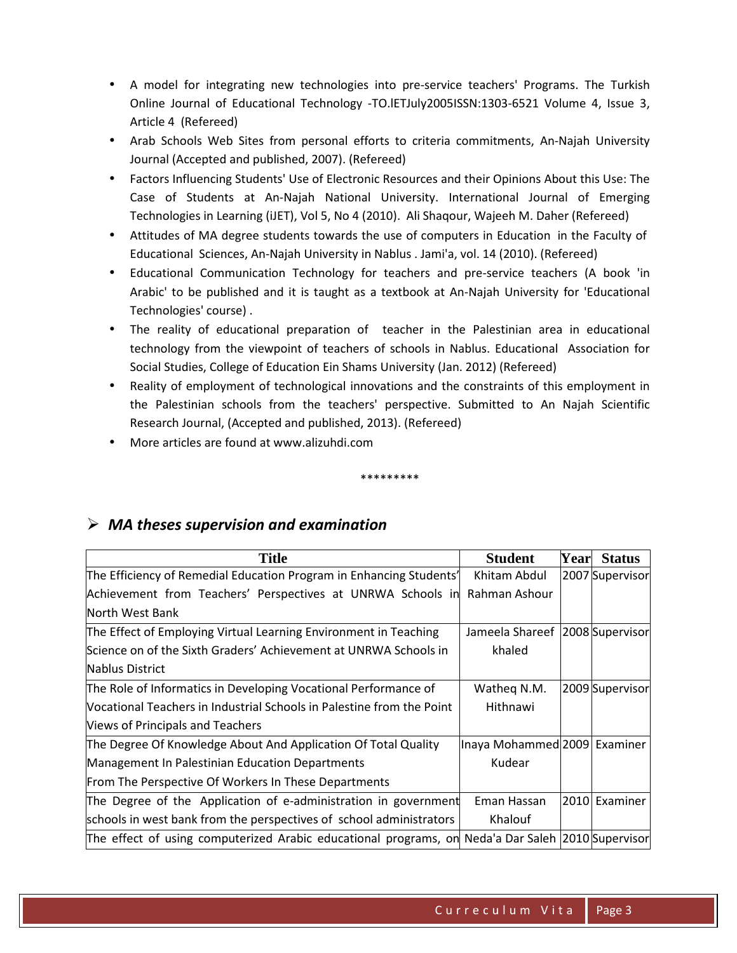- A model for integrating new technologies into pre-service teachers' Programs. The Turkish Online Journal of Educational Technology -TO.lETJuly2005ISSN:1303-6521 Volume 4, Issue 3, Article 4 (Refereed)
- Arab Schools Web Sites from personal efforts to criteria commitments, An-Najah University Journal (Accepted and published, 2007). (Refereed)
- Factors Influencing Students' Use of Electronic Resources and their Opinions About this Use: The Case of Students at An-Najah National University. International Journal of Emerging Technologies in Learning (iJET), Vol 5, No 4 (2010). Ali Shaqour, Wajeeh M. Daher (Refereed)
- Attitudes of MA degree students towards the use of computers in Education in the Faculty of Educational Sciences, An-Najah University in Nablus . Jami'a, vol. 14 (2010). (Refereed)
- Educational Communication Technology for teachers and pre-service teachers (A book 'in Arabic' to be published and it is taught as a textbook at An-Najah University for 'Educational Technologies' course) .
- The reality of educational preparation of teacher in the Palestinian area in educational technology from the viewpoint of teachers of schools in Nablus. Educational Association for Social Studies, College of Education Ein Shams University (Jan. 2012) (Refereed)
- Reality of employment of technological innovations and the constraints of this employment in the Palestinian schools from the teachers' perspective. Submitted to An Najah Scientific Research Journal, (Accepted and published, 2013). (Refereed)
- More articles are found at www.alizuhdi.com

\*\*\*\*\*\*\*\*\*

| <b>Title</b>                                                                                      | <b>Student</b>                    | Year | <b>Status</b>   |
|---------------------------------------------------------------------------------------------------|-----------------------------------|------|-----------------|
| The Efficiency of Remedial Education Program in Enhancing Students'                               | Khitam Abdul                      |      | 2007 Supervisor |
| Achievement from Teachers' Perspectives at UNRWA Schools in                                       | Rahman Ashour                     |      |                 |
| North West Bank                                                                                   |                                   |      |                 |
| The Effect of Employing Virtual Learning Environment in Teaching                                  | Jameela Shareef   2008 Supervisor |      |                 |
| Science on of the Sixth Graders' Achievement at UNRWA Schools in                                  | khaled                            |      |                 |
| Nablus District                                                                                   |                                   |      |                 |
| The Role of Informatics in Developing Vocational Performance of                                   | Watheq N.M.                       |      | 2009 Supervisor |
| Vocational Teachers in Industrial Schools in Palestine from the Point                             | Hithnawi                          |      |                 |
| Views of Principals and Teachers                                                                  |                                   |      |                 |
| The Degree Of Knowledge About And Application Of Total Quality                                    | Inaya Mohammed 2009 Examiner      |      |                 |
| Management In Palestinian Education Departments                                                   | Kudear                            |      |                 |
| From The Perspective Of Workers In These Departments                                              |                                   |      |                 |
| The Degree of the Application of e-administration in government                                   | Eman Hassan                       |      | 2010 Examiner   |
| schools in west bank from the perspectives of school administrators                               | Khalouf                           |      |                 |
| The effect of using computerized Arabic educational programs, on Neda'a Dar Saleh 2010 Supervisor |                                   |      |                 |

# $\triangleright$  MA theses supervision and examination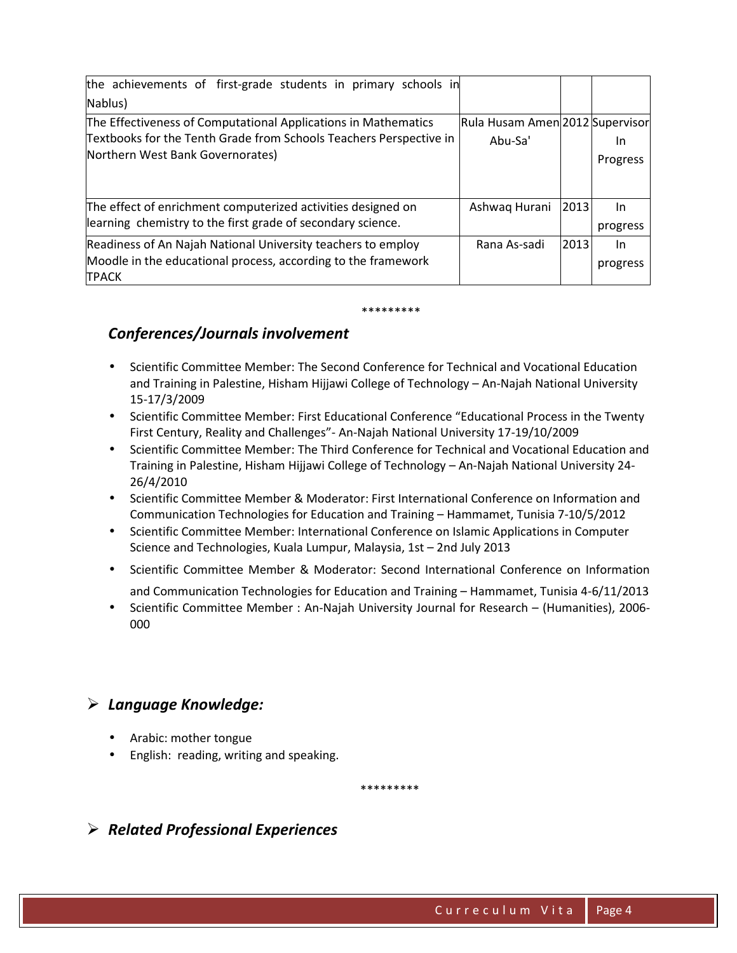| the achievements of first-grade students in primary schools in     |                                 |      |          |
|--------------------------------------------------------------------|---------------------------------|------|----------|
| Nablus)                                                            |                                 |      |          |
| The Effectiveness of Computational Applications in Mathematics     | Rula Husam Amen 2012 Supervisor |      |          |
| Textbooks for the Tenth Grade from Schools Teachers Perspective in | Abu-Sa'                         |      | 1n       |
| Northern West Bank Governorates)                                   |                                 |      | Progress |
|                                                                    |                                 |      |          |
|                                                                    |                                 |      |          |
| The effect of enrichment computerized activities designed on       | Ashwaq Hurani                   | 2013 | In       |
| learning chemistry to the first grade of secondary science.        |                                 |      | progress |
| Readiness of An Najah National University teachers to employ       | Rana As-sadi                    | 2013 | In.      |
| Moodle in the educational process, according to the framework      |                                 |      | progress |
| <b>TPACK</b>                                                       |                                 |      |          |

#### \*\*\*\*\*\*\*\*\*

#### Conferences/Journals involvement

- Scientific Committee Member: The Second Conference for Technical and Vocational Education and Training in Palestine, Hisham Hijjawi College of Technology – An-Najah National University 15-17/3/2009
- Scientific Committee Member: First Educational Conference "Educational Process in the Twenty First Century, Reality and Challenges"- An-Najah National University 17-19/10/2009
- Scientific Committee Member: The Third Conference for Technical and Vocational Education and Training in Palestine, Hisham Hijjawi College of Technology – An-Najah National University 24- 26/4/2010
- Scientific Committee Member & Moderator: First International Conference on Information and Communication Technologies for Education and Training – Hammamet, Tunisia 7-10/5/2012
- Scientific Committee Member: International Conference on Islamic Applications in Computer Science and Technologies, Kuala Lumpur, Malaysia, 1st – 2nd July 2013
- Scientific Committee Member & Moderator: Second International Conference on Information
- and Communication Technologies for Education and Training Hammamet, Tunisia 4-6/11/2013
- Scientific Committee Member : An-Najah University Journal for Research (Humanities), 2006- 000

# $\triangleright$  Language Knowledge:

- Arabic: mother tongue
- English: reading, writing and speaking.

\*\*\*\*\*\*\*\*\*

# $\triangleright$  Related Professional Experiences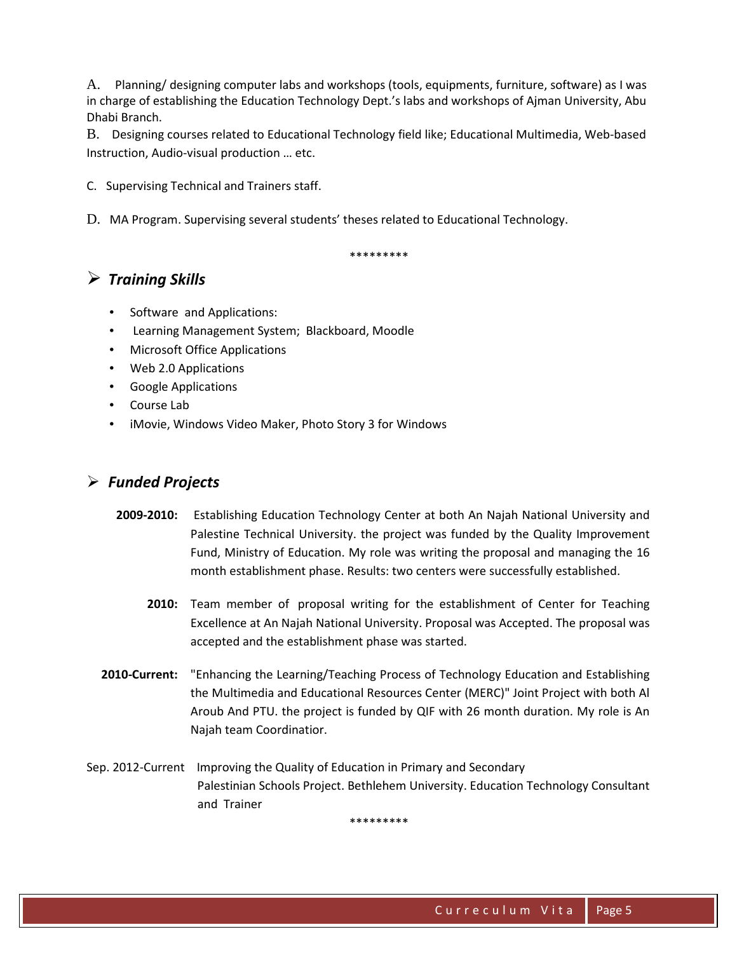A. Planning/ designing computer labs and workshops (tools, equipments, furniture, software) as I was in charge of establishing the Education Technology Dept.'s labs and workshops of Ajman University, Abu Dhabi Branch.

B. Designing courses related to Educational Technology field like; Educational Multimedia, Web-based Instruction, Audio-visual production … etc.

C. Supervising Technical and Trainers staff.

D. MA Program. Supervising several students' theses related to Educational Technology.

\*\*\*\*\*\*\*\*\*

# $\triangleright$  Training Skills

- Software and Applications:
- Learning Management System; Blackboard, Moodle
- Microsoft Office Applications
- Web 2.0 Applications
- Google Applications
- Course Lab
- iMovie, Windows Video Maker, Photo Story 3 for Windows

# $\triangleright$  Funded Projects

- 2009-2010: Establishing Education Technology Center at both An Najah National University and Palestine Technical University. the project was funded by the Quality Improvement Fund, Ministry of Education. My role was writing the proposal and managing the 16 month establishment phase. Results: two centers were successfully established.
	- 2010: Team member of proposal writing for the establishment of Center for Teaching Excellence at An Najah National University. Proposal was Accepted. The proposal was accepted and the establishment phase was started.
- 2010-Current: "Enhancing the Learning/Teaching Process of Technology Education and Establishing the Multimedia and Educational Resources Center (MERC)" Joint Project with both Al Aroub And PTU. the project is funded by QIF with 26 month duration. My role is An Najah team Coordinatior.
- Sep. 2012-Current Improving the Quality of Education in Primary and Secondary Palestinian Schools Project. Bethlehem University. Education Technology Consultant and Trainer

\*\*\*\*\*\*\*\*\*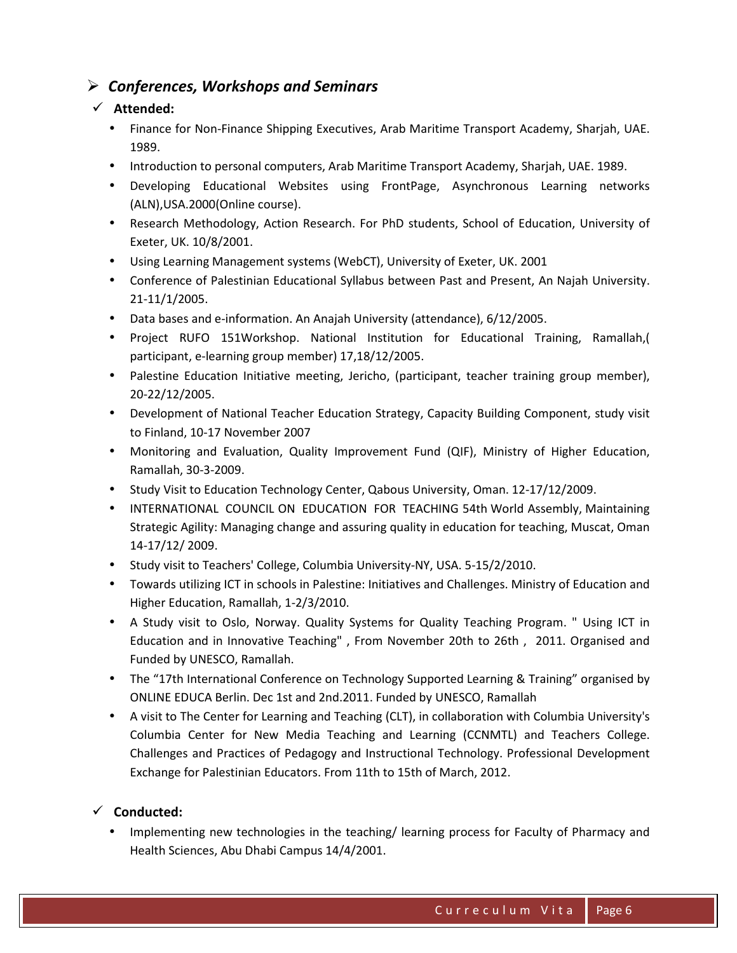# $\triangleright$  Conferences, Workshops and Seminars

### $\checkmark$  Attended:

- Finance for Non-Finance Shipping Executives, Arab Maritime Transport Academy, Sharjah, UAE. 1989.
- Introduction to personal computers, Arab Maritime Transport Academy, Sharjah, UAE. 1989.
- Developing Educational Websites using FrontPage, Asynchronous Learning networks (ALN),USA.2000(Online course).
- Research Methodology, Action Research. For PhD students, School of Education, University of Exeter, UK. 10/8/2001.
- Using Learning Management systems (WebCT), University of Exeter, UK. 2001
- Conference of Palestinian Educational Syllabus between Past and Present, An Najah University. 21-11/1/2005.
- Data bases and e-information. An Anajah University (attendance), 6/12/2005.
- Project RUFO 151Workshop. National Institution for Educational Training, Ramallah,( participant, e-learning group member) 17,18/12/2005.
- Palestine Education Initiative meeting, Jericho, (participant, teacher training group member), 20-22/12/2005.
- Development of National Teacher Education Strategy, Capacity Building Component, study visit to Finland, 10-17 November 2007
- Monitoring and Evaluation, Quality Improvement Fund (QIF), Ministry of Higher Education, Ramallah, 30-3-2009.
- Study Visit to Education Technology Center, Qabous University, Oman. 12-17/12/2009.
- INTERNATIONAL COUNCIL ON EDUCATION FOR TEACHING 54th World Assembly, Maintaining Strategic Agility: Managing change and assuring quality in education for teaching, Muscat, Oman 14-17/12/ 2009.
- Study visit to Teachers' College, Columbia University-NY, USA. 5-15/2/2010.
- Towards utilizing ICT in schools in Palestine: Initiatives and Challenges. Ministry of Education and Higher Education, Ramallah, 1-2/3/2010.
- A Study visit to Oslo, Norway. Quality Systems for Quality Teaching Program. " Using ICT in Education and in Innovative Teaching" , From November 20th to 26th , 2011. Organised and Funded by UNESCO, Ramallah.
- The "17th International Conference on Technology Supported Learning & Training" organised by ONLINE EDUCA Berlin. Dec 1st and 2nd.2011. Funded by UNESCO, Ramallah
- A visit to The Center for Learning and Teaching (CLT), in collaboration with Columbia University's Columbia Center for New Media Teaching and Learning (CCNMTL) and Teachers College. Challenges and Practices of Pedagogy and Instructional Technology. Professional Development Exchange for Palestinian Educators. From 11th to 15th of March, 2012.

# $\checkmark$  Conducted:

• Implementing new technologies in the teaching/ learning process for Faculty of Pharmacy and Health Sciences, Abu Dhabi Campus 14/4/2001.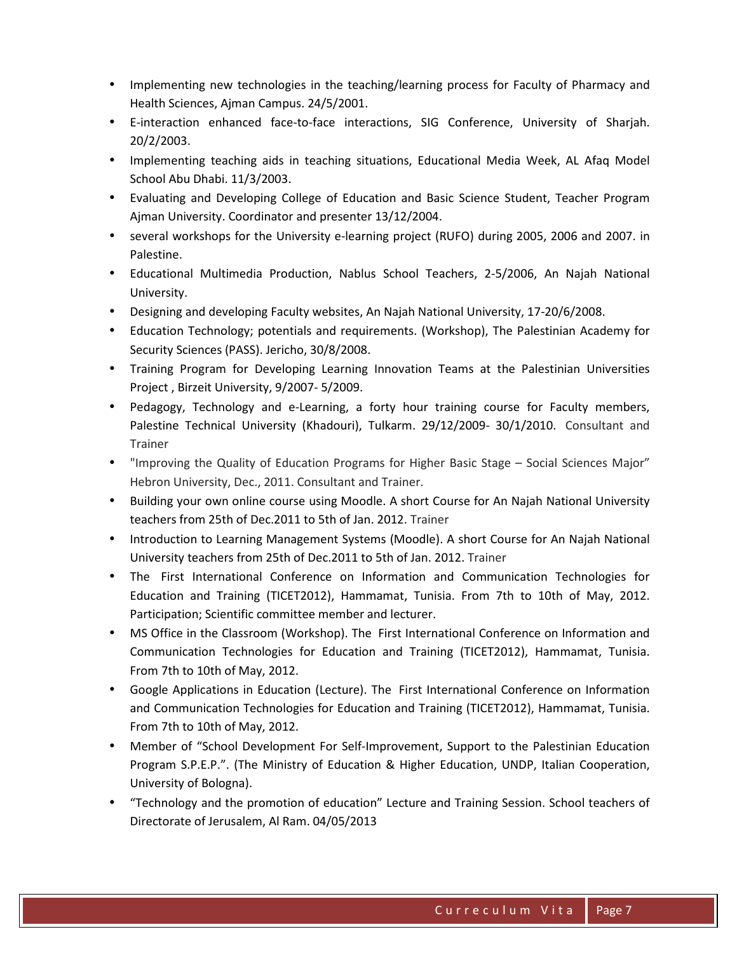- Implementing new technologies in the teaching/learning process for Faculty of Pharmacy and Health Sciences, Ajman Campus. 24/5/2001.
- E-interaction enhanced face-to-face interactions, SIG Conference, University of Sharjah. 20/2/2003.
- Implementing teaching aids in teaching situations, Educational Media Week, AL Afaq Model School Abu Dhabi. 11/3/2003.
- Evaluating and Developing College of Education and Basic Science Student, Teacher Program Ajman University. Coordinator and presenter 13/12/2004.
- several workshops for the University e-learning project (RUFO) during 2005, 2006 and 2007. in Palestine.
- Educational Multimedia Production, Nablus School Teachers, 2-5/2006, An Najah National University.
- Designing and developing Faculty websites, An Najah National University, 17-20/6/2008.
- Education Technology; potentials and requirements. (Workshop), The Palestinian Academy for Security Sciences (PASS). Jericho, 30/8/2008.
- Training Program for Developing Learning Innovation Teams at the Palestinian Universities Project , Birzeit University, 9/2007- 5/2009.
- Pedagogy, Technology and e-Learning, a forty hour training course for Faculty members, Palestine Technical University (Khadouri), Tulkarm. 29/12/2009- 30/1/2010. Consultant and Trainer
- "Improving the Quality of Education Programs for Higher Basic Stage Social Sciences Major" Hebron University, Dec., 2011. Consultant and Trainer.
- Building your own online course using Moodle. A short Course for An Najah National University teachers from 25th of Dec.2011 to 5th of Jan. 2012. Trainer
- Introduction to Learning Management Systems (Moodle). A short Course for An Najah National University teachers from 25th of Dec.2011 to 5th of Jan. 2012. Trainer
- The First International Conference on Information and Communication Technologies for Education and Training (TICET2012), Hammamat, Tunisia. From 7th to 10th of May, 2012. Participation; Scientific committee member and lecturer.
- MS Office in the Classroom (Workshop). The First International Conference on Information and Communication Technologies for Education and Training (TICET2012), Hammamat, Tunisia. From 7th to 10th of May, 2012.
- Google Applications in Education (Lecture). The First International Conference on Information and Communication Technologies for Education and Training (TICET2012), Hammamat, Tunisia. From 7th to 10th of May, 2012.
- Member of "School Development For Self-Improvement, Support to the Palestinian Education Program S.P.E.P.". (The Ministry of Education & Higher Education, UNDP, Italian Cooperation, University of Bologna).
- "Technology and the promotion of education" Lecture and Training Session. School teachers of Directorate of Jerusalem, Al Ram. 04/05/2013